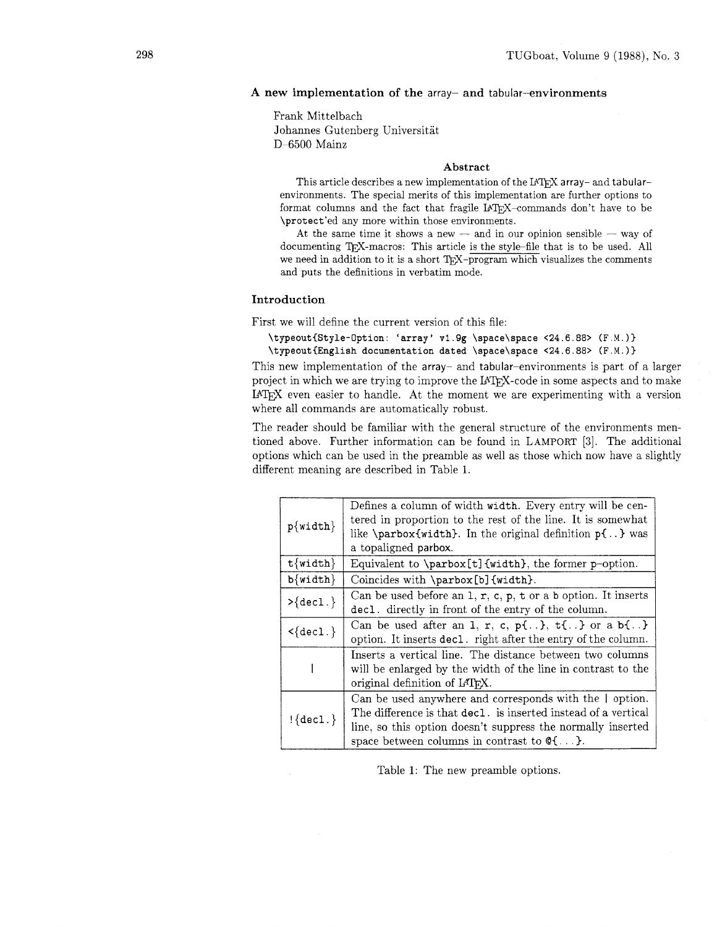# A new implementation of the array- and tabular-environments

Frank Mittelbach Johannes Gutenberg Universitat D-6500 Mainz

## **Abstract**

This article describes a new implementation of the L<sup>A</sup>T<sub>E</sub>X array- and tabularenvironments. The special merits of this implementation are further options to format columns and the fact that fragile  $IATFX$ -commands don't have to be \protect'ed any more within those environments.

At the same time it shows a new  $-$  and in our opinion sensible  $-$  way of documenting TFX-macros: This article is the style-file that is to be used. All we need in addition to it is a short T<sub>FX</sub>-program which visualizes the comments and puts the definitions in verbatim mode.

# Introduction

First we will define the current version of this file:

```
\typeout{Style-Option: 'array' v1.9g \space\space <24.6.88> (F.M.)}
\typeout{English documentation dated \space\space <24.6.88> (F .M. ))
```
This new implementation of the array- and tabular-environments is part of a larger project in which we are trying to improve the IATFX-code in some aspects and to make IATFX even easier to handle. At the moment we are experimenting with a version where all commands are automatically robust.

The reader should be familiar with the general structure of the environments mentioned above. Further information can be found in LAMPORT **[3].** The additional options which can be used in the preamble as well as those which now have a slightly different meaning are described in Table 1

| $p\{\text{width}\}\$           | Defines a column of width width. Every entry will be cen-<br>tered in proportion to the rest of the line. It is somewhat<br>like \parbox{width}. In the original definition $p\{ \}$ was<br>a topaligned parbox.                                           |  |  |  |  |
|--------------------------------|------------------------------------------------------------------------------------------------------------------------------------------------------------------------------------------------------------------------------------------------------------|--|--|--|--|
| $t$ {width}                    | Equivalent to \parbox[t]{width}, the former p-option.                                                                                                                                                                                                      |  |  |  |  |
| $b\{\text{width}\}$            | Coincides with \parbox[b]{width}.                                                                                                                                                                                                                          |  |  |  |  |
| $>\{$ \}                       | Can be used before an $1, r, c, p, t$ or a b option. It inserts<br>decl. directly in front of the entry of the column.                                                                                                                                     |  |  |  |  |
| $\langle \text{dec1.} \rangle$ | Can be used after an 1, r, c, p{}, $t\{.\}$ or a b{}<br>option. It inserts decl. right after the entry of the column.                                                                                                                                      |  |  |  |  |
|                                | Inserts a vertical line. The distance between two columns<br>will be enlarged by the width of the line in contrast to the<br>original definition of IATFX.                                                                                                 |  |  |  |  |
| $! \{ \text{dec1.} \}$         | Can be used anywhere and corresponds with the   option.<br>The difference is that decl. is inserted instead of a vertical<br>line, so this option doesn't suppress the normally inserted<br>space between columns in contrast to $\mathcal{Q}\{\ldots\}$ . |  |  |  |  |

Table I: The new preamble options.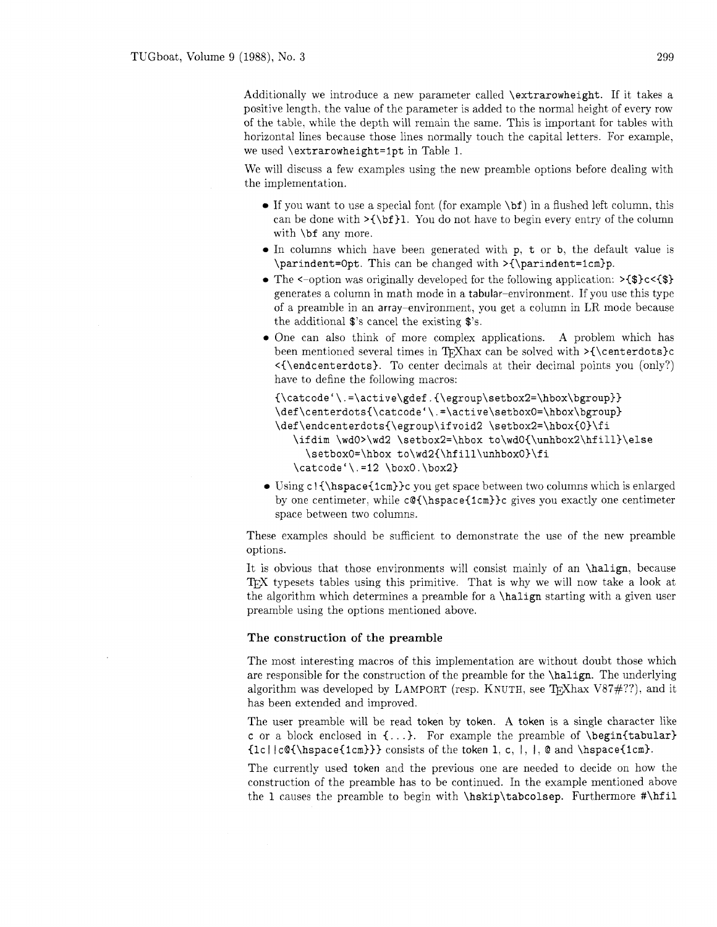Additionally we introduce a new parameter called \extrarowheight. If it takes a positive length. the value of the parameter is added to the normal height of every row of the table, while the depth will remain the same. This is important for tables with horizontal lines because those lines normally touch the capital letters. For example. we used \extrarowheight=lpt in Table 1.

We will discuss a few examples using the new preamble options before dealing with the implementation.

- If you want to use a special font (for example \bf) in a flushed left column. this can be done with  $>\{\b{f}\}.$  You do not have to begin every entry of the column with  $\bf b$ f any more.
- In columns which have been generated with p, t or b, the default value is \parindent=Opt. This can be changed with >{\parindent=icm)p.
- The  $\leq$ -option was originally developed for the following application:  $\geq$  (\$)c $\leq$  (\$) generates a column in math mode in a tabular-environment. If you use this type of a preamble in an array-environment, you get a column in LR mode because the additional \$'s cancel the existing \$'s.
- One can also think of more complex applications. A problem which has been mentioned several times in T<sub>F</sub>Xhax can be solved with  $>\{\text{center}$ <{\endcenterdots). To center decimals at their decimal points you (only?) have to define the following macros:

```
{\catcode'\. =\active\gdef . ~\egroup\setbox2=\hbox\bgroup}) 
\def\centerdots~\catcode'\.=\active\setboxO=\hbox\bgroup> 
\def\endcenterdots{\egroup\ifvoid2 \setbox2=\hbox{0}\fi
   \ifdim \wdO>\wd2 \setbox2=\hbox to\wdO{\unhbox2\hfill}\else
     \setboxO=\hbox to\wd2{\hfill\unhboxO)\fi 
   \catcode '\. =I2 \boxO. \box2)
```
• Using c! {\hspace{1cm}}c you get space between two columns which is enlarged by one centimeter, while  $c@{\hbox{space{1cm}}c$  gives you exactly one centimeter space between two columns.

These examples should be sufficient to demonstrate the use of the new preamble options.

It is obvious that those environments will consist mainly of an \halign, because T<sub>EX</sub> typesets tables using this primitive. That is why we will now take a look at the algorithm which determines a preamble for a \halign starting with a given user preamble using the options mentioned above.

# **The construction of the preamble**

The most interesting macros of this implementation are without doubt those which are responsible for the construction of the preamble for the \halign. The underlying algorithm was developed by LAMPORT (resp. KNUTH, see T<sub>E</sub>Xhax V87 $\#$ ??), and it has been extended and improved.

The user preamble will be read token by token. A token is a single character like c or a block enclosed in **C..** .). For example the preamble of \begin{tabular)  ${lc||c@{\hbox{hspace}}{1cm}}$  consists of the token 1, c, |, |, @ and \hspace{1cm}.

The currently used token and the previous one are needed to decide on how the construction of the preamble has to be continued. In the example mentioned above the 1 causes the preamble to begin with \hskip\tabcolsep. Furthermore #\hfil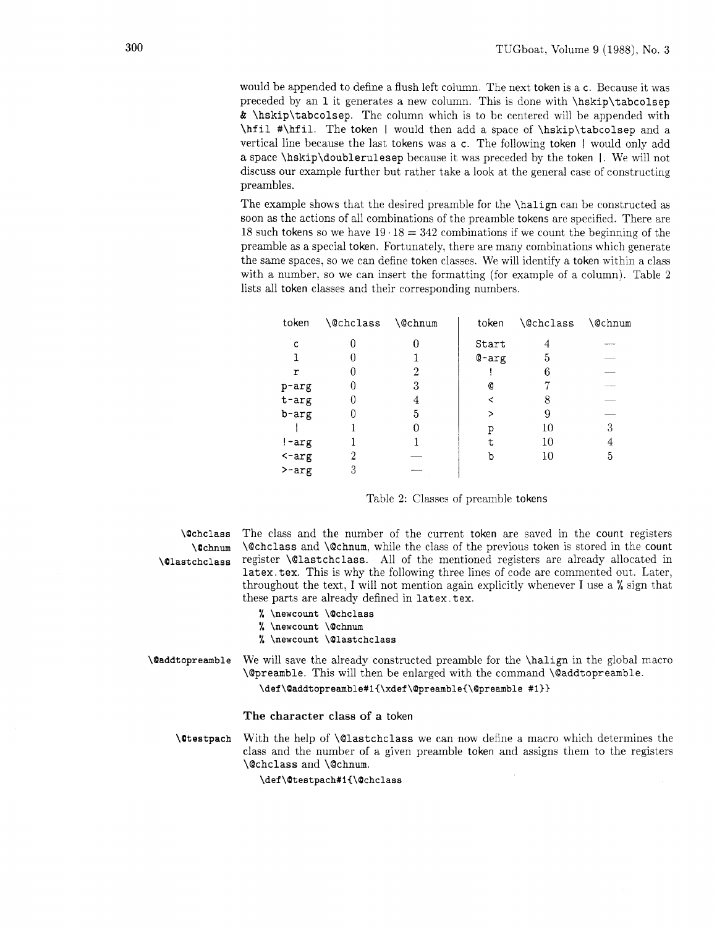would be appended to define a flush left column. The next token is a c. Because it was preceded by an 1 it generates a new column. This is done with \hskip\tabcolsep & \hskip\tabcolsep. The column which is to be centered will be appended with \hfil #\hfil. The token I would then add a space of \hskip\tabcolsep and a vertical line because the last tokens was a c. The following token I would only add a space \hskip\doublerulesep because it was preceded by the token I. We will not discuss our example further but rather take a look at the general case of constructing preambles.

The example shows that the desired preamble for the \halign can be constructed as soon as the actions of all combinations of the preamble tokens are specified. There are 18 such tokens so we have  $19 \cdot 18 = 342$  combinations if we count the beginning of the preamble as a special token. Fortunately, there are many combinations which generate the same spaces, so we can define token classes. We will identify a token within a class with a number, so we can insert the formatting (for example of a column). Table 2 lists all token classes and their corresponding numbers.

| token              | <b>\@chclass</b> | \@chnum | token   | <i><b>\@chclass</b></i> | <b>\@chnum</b> |
|--------------------|------------------|---------|---------|-------------------------|----------------|
| C                  |                  | 0       | Start   | 4                       |                |
|                    |                  |         | $Q-arg$ | 5                       |                |
| r                  |                  | 2       |         | 6                       |                |
| p-arg              |                  | 3       | Ø       |                         |                |
| $t - arg$          |                  |         |         |                         |                |
| b-arg              |                  | 5       |         | 9                       |                |
|                    |                  |         | р       | 10                      | 3              |
| $! - arg$          |                  |         | t       | 10                      | 4              |
| $\leftarrow$ $arg$ |                  |         | р       | 10                      | 5              |
| $\rho$ -arg        | 3                |         |         |                         |                |

Table 2: Classes of preamble tokens

\Qchclass The class and the number of the current token are saved in the count registers \Ochnum \@chclass and \@chnum, while the class of the previous token is stored in the count \Qlastchclass register \@lastchclass. All of the mentioned registers are already allocated in latex. tex. This is why the following three lines of code are commented out. Later, throughout the text, I will not mention again explicitly whenever I use a % sign that these parts are already defined in latex. tex.

- % \newcount \@chclass
- % \newcount \@chnum
- % \newcount \Qlastchclass

\@addtopreamble We will save the already constructed preamble for the \halign in the global macro \@preamble. This will then be enlarged with the command \@addtopreamble.

\def\@addtopreamble#1{\xdef\@preamble{\@preamble #1}}

## The character class of a token

 $\text{U}$  testpach With the help of  $\text{Q}$  lastchclass we can now define a macro which determines the class and the number of a given preamble token and assigns them to the registers \@chclass and \@chnum.

\def\@testpach#1{\@chclass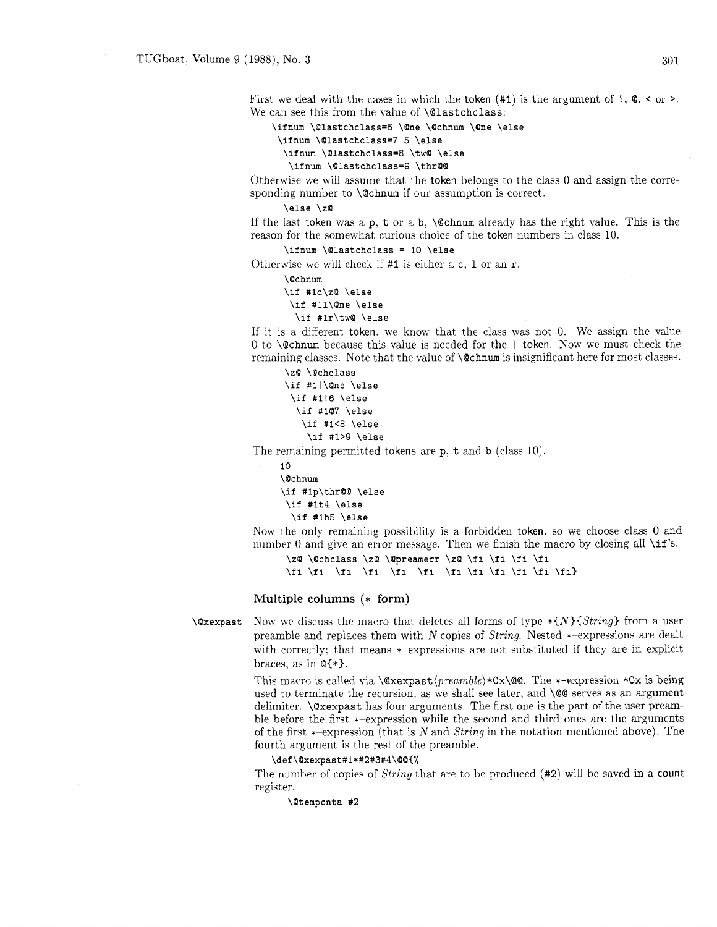First we deal with the cases in which the token  $(41)$  is the argument of  $\mathbf{1}, \mathbf{Q}, \mathbf{<}$  or  $\mathbf{>}.$ We can see this from the value of **\@lastchclass**:

\ifnum \@lastchclass=6 \@ne \@chnum \@ne \else

```
\ifnum \@lastchclass=7 5 \else
\ifnum \@lastchclass=8 \tw@ \else
```
\ifnum \@lastchclass=9 \thr@@

Otherwise we will assume that the token belongs to the class 0 and assign the corresponding number to \@chnum if our assumption is correct.

## \else \zQ

If the last token was a  $p$ , t or a b,  $\Qchnum$  already has the right value. This is the reason for the somewhat curious choice of the token numbers in class 10.

\ifnum \@lastchclass = 10 \else

Otherwise we will check if #I is either a c, **1** or an r.

\Ochnum

```
\if #Ic\zO \else 
 \if #Il\One \else 
  \if #Ir\twQ \else
```
If it is a different token, we know that the class was not 0. We assign the value 0 to  $\Diamond$  chnum because this value is needed for the 1-token. Now we must check the remaining classes. Note that the value of \@chnum is insignificant here for most classes.

```
\z@ \@chclass
\if #Il\One \else 
\if #1!6 \else 
  \iint #1@7 \text{ }else
   \if #1<8 \else
    \if #1>9 \else
```
The remaining permitted tokens are p, t and b (class 10).

```
10 
\Ochnum 
\if #1p\thr@@ \else
 \if #lt4 \else 
  \if #lb5 \else
```
Now the only remaining possibility is a forbidden token, so we choose class 0 and number 0 and give an error message. Then we finish the macro by closing all  $\i{if}$ 's.

\z@ \@chclass \z@ \@preamerr \z@ \fi \fi \fi \fi \fi \fi \fi \fi \fi \fi \fi \fi \fi \fi \fi \fi>

# Multiple columns (\*-form)

**\@xexpast** Now we discuss the macro that deletes all forms of type  $*{N}{String}$  from a user preamble and replaces them with *N* copies of String. Nested \*-expressions are dealt with correctly: that means  $*$ -expressions are not substituted if they are in explicit braces, as in  $\mathbb{C}\{*\}$ .

> This macro is called via **\@xexpast(preamble)\*Ox\Q@.** The \*-expression \*Ox is being used to terminate the recursion, as we shall see later, and  $\Diamond \otimes$  serves as an argument delimiter. \@xexpast has four arguments. The first one is the part of the user preamble before the first \*-expression while the second and third ones are the arguments of the first  $*-$ expression (that is N and String in the notation mentioned above). The fourth argument is the rest of the preamble.

# **\def\Oxexpast#l\*#2#3#4\OQt%**

The number of copies of String that are to be produced **(#2)** will be saved in a count register.

\Oternpcnta #2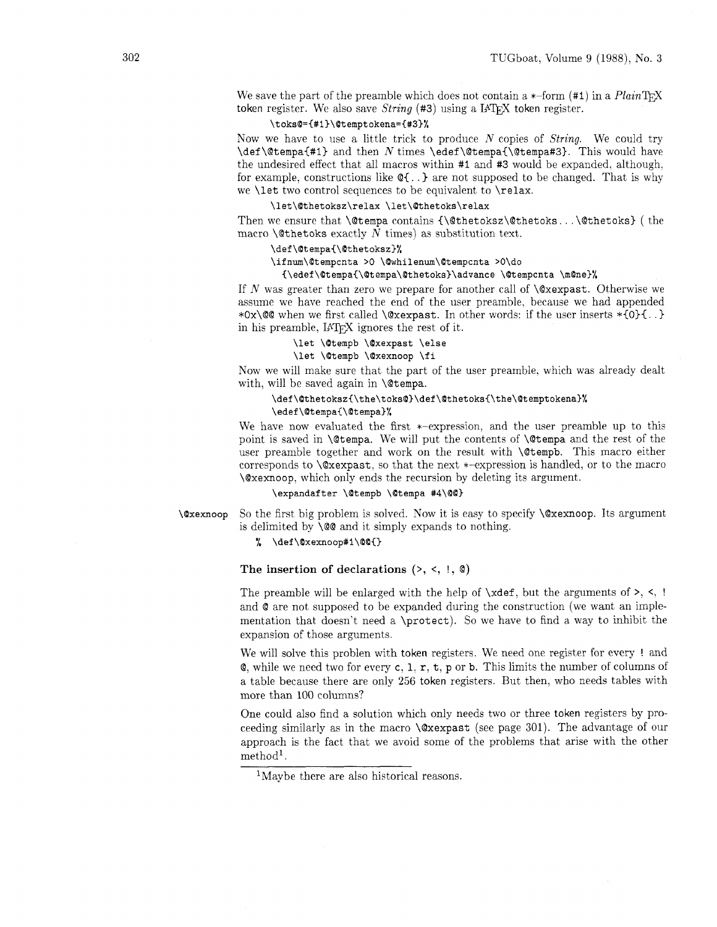We save the part of the preamble which does not contain a  $*$ -form  $(*1)$  in a *Plain* T<sub>F</sub>X token register. We also save *String* (#3) using a *IATFX* token register.

# **\toksQ={#l)\Otemptokena=(#3)%**

Now we have to use a little trick to produce N copies of *String.* We could try \def \@tempa{#l) and then N times \edef \@tempa{\@tempa#3). This would have the undesired effect that all macros within #I and #3 would be expanded. although. for example, constructions like  $\mathcal{Q}\{\ldots\}$  are not supposed to be changed. That is why we \let two control sequences to be equivalent to \relax.

# **\let\Qthetoksz\relax \let\@thetoks\relax**

Then we ensure that  $\theta$  contains  ${\Phi}{\theta$ . . .  $\theta$ thetoks) ( the macro \@thetoks exactly *N* times) as substitution text.

## **\def\Otempa{\Qthetoksz)%**

# **\ifnum\Otempcnta >O \Qwhilenum\Btempcnta >O\do**

## **I\edef\Qtempa{\@tempa\@thetoks)\advance \Otempcnta \mOne)%**

If N was greater than zero we prepare for another call of  $\Qx$ expast. Otherwise we assume we have reached the end of the user preamble, because we had appended \*Ox\@@ when we first called \@xexpast. In other words: if the user inserts  $*{0}$ {..} in his preamble. *IATFX* ignores the rest of it.

# **\let \Otempb \Oxexpast \else**

## **\let \Otempb \Oxexnoop \fi**

Now we will make sure that the part of the user preamble. which was already dealt with, will be saved again in  $\Diamond$ tempa.

# **\def\Qthetoksz{\the\toks0)\def\Qthetoks{\the\Otemptokena~% \edef\Otempa{\Qtempa)%**

We have now evaluated the first \*-expression, and the user preamble up to this point is saved in **\@tempa**. We will put the contents of **\@tempa** and the rest of the user preamble together and work on the result with \@tempb. This macro either corresponds to  $\&x$ expast, so that the next  $*$ -expression is handled, or to the macro \@xexnoop, which only ends the recursion by deleting its argument.

## \expandafter \@tempb \@tempa #4\@@}

**\Qxexnoop** So the first big problem is solved. Now it is easy to specify \@xexnoop. Its argument is delimited by \@@ and it simply expands to nothing.

## % \def\@xexnoop#1\@@{}

## The insertion of declarations (>, <, !, **Q)**

The preamble will be enlarged with the help of  $\xdef$ , but the arguments of  $\ge$ ,  $\le$ , ! and **Q** are not supposed to be expanded during the construction (we want an implementation that doesn't need a \protect). So we have to find a way to inhibit the expansion of those arguments.

We will solve this problen with token registers. We need one register for every ! and  $\mathbf{Q}$ , while we need two for every c, 1, r, t, p or b. This limits the number of columns of a table because there are only 256 token registers. But then, who needs tables with more than 100 columns?

One could also find a solution which only needs two or three token registers by proceeding similarly as in the macro  $\&$  exexpast (see page 301). The advantage of our approach is the fact that we avoid some of the problems that arise with the other method<sup>1</sup>.

<sup>&</sup>lt;sup>1</sup>Maybe there are also historical reasons.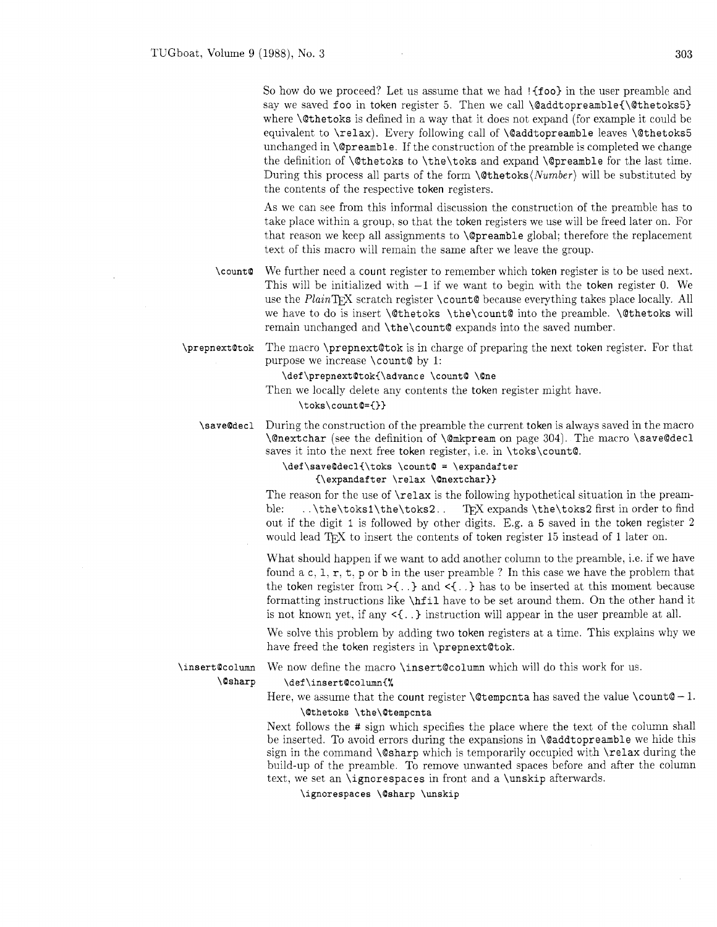So how do we proceed? Let us assume that we had ! {foo} in the user preamble and say we saved foo in token register 5. Then we call **\@addtopreamble(\@thetoks5)**  where \@thetoks is defined in a way that it does not expand (for example it could be equivalent to \relax). Every following call of \@addtopreamble leaves \@thetoks5 unchanged in \@preamble. If the construction of the preamble is completed we change the definition of \@thetoks to \the\toks and expand \@preamble for the last time. During this process all parts of the form  $\{\text{Other}\}\$  will be substituted by the contents of the respective token registers.

As we can see from this informal discussion the construction of the preamble has to take place within a group, so that the token registers we use will be freed later on. For that reason we keep all assignments to \@preamble global: therefore the replacement text of this macro will remain the same after we leave the group.

We further need a count register to remember which token register is to be used next. \count@ This will be initialized with -1 if we want to begin with the token register *0.* We use the *PlainTFX* scratch register \count@ because everything takes place locally. All we have to do is insert **\@thetoks** \the\count@ into the preamble. \@thetoks will remain unchanged and \the\count@ expands into the saved number.

\prepnext@tok The macro \prepnext@tok is in charge of preparing the next token register. For that purpose we increase \count@ by 1:

\def\prepnext@tok{\advance \count@ \@ne

Then we locally delete any contents the token register might have.

**\toks\count@={)>** 

During the construction of the preamble the current token is always saved in the macro \save@decl \@nextchar (see the definition of \@mkpream on page 304). The macro \save@decl saves it into the next free token register, i.e. in \toks\count@.

> **\def\saveOdecl{\toks \count@** = **\expandafter {\expandafter \relax \@nextchar)>**

The reason for the use of  $\relaxright$  is the following hypothetical situation in the preamble: ..\the\toks1\the\toks2.. TFX expands \the\toks2 first in order to find out if the digit 1 is followed by other digits. E.g. a **5** saved in the token register 2 would lead TEX to insert the contents of token register 15 instead of 1 later on.

What should happen if we want to add another column to the preamble, i.e. if we have found a c,  $1, r, t, p$  or  $b$  in the user preamble ? In this case we have the problem that the token register from  $\geq$ {...} and  $\leq$ {...} has to be inserted at this moment because formatting instructions like \hf il have to be set around them. On the other hand it is not known yet, if any  $\leq \{.\}$  instruction will appear in the user preamble at all.

We solve this problem by adding two token registers at a time. This explains why we have freed the token registers in \prepnext@tok.

\insert@column **\@sharp**  We now define the macro **\insert@column** which will do this work for us.

# **\def\insert@column{%**

Here, we assume that the count register  $\text{Set}$  and the saved the value  $\text{Count@} - 1$ . **\Qthetoks \the\@tempcnta** 

Next follows the # sign which specifies the place where the text of the column shall be inserted. To avoid errors during the expansions in **\@addtopreamble** we hide this sign in the command **\@sharp** which is temporarily occupied with **\relax** during the build-up of the preamble. To remove unwanted spaces before and after the column text, we set an \ignorespaces in front and a \unskip afterwards.

\ignorespaces \@sharp \unskip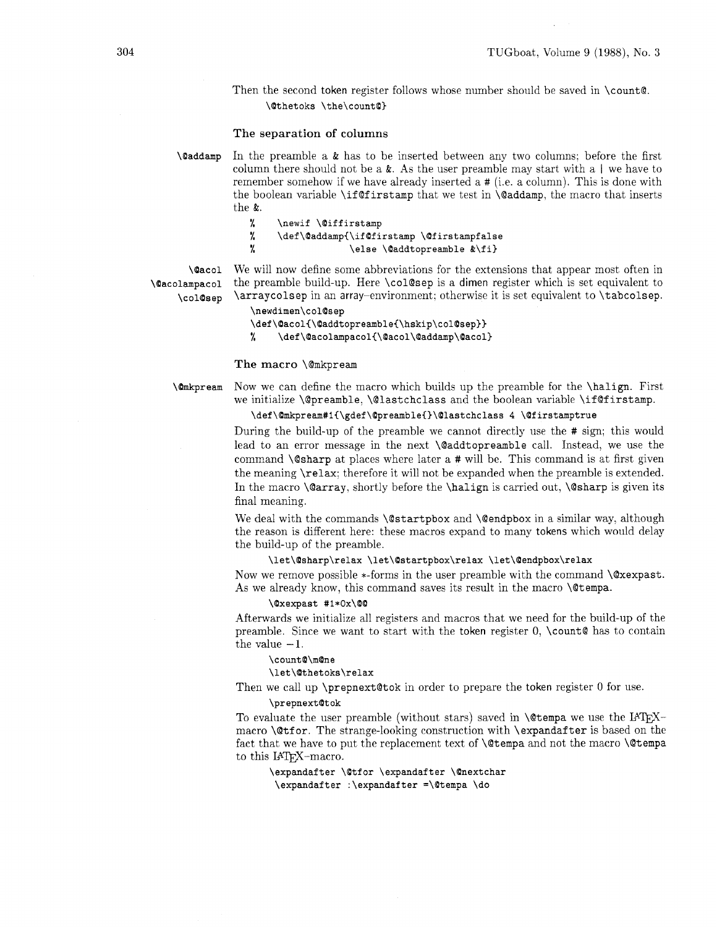Then the second token register follows whose number should be saved in \count@. **\Qthetoks \the\countO)** 

## The separation of columns

**\&laddamp** In the preamble a & has to be inserted between any two columns; before the first column there should not be a  $\&$ . As the user preamble may start with a  $\vert$  we have to remember somehow if we have already inserted a # (i.e. a column). This is done with the boolean variable \if @f irstamp that we test in \@addamp, the macro that inserts the &.

- % **\newif \@iff irstamp**
- % **\def\Oaddamp{\ifQfirstamp \Qfirstampfalse**
- % **\else \Oaddtopreamble &\fi)**

**\@acol** We will now define some abbreviations for the extensions that appear most often in **\@acolampacol** the preamble build-up. Here \col@sep is a dimen register which is set equivalent to **\colQsep** \arraycolsep in an array-environment; otherwise it is set equivalent to \tabcolsep.

```
\newdimen\col@sep
```
\def\@acol{\@addtopreamble{\hskip\col@sep}}

 $\gamma$ \def\@acolampacol{\@acol\@addamp\@acol}

## The macro \@mkpream

**\Qmkpream** Now we can define the macro which builds up the preamble for the \halip. First we initialize \@preamble. \@lastchclass and the boolean variable \if **@f** irstamp.

\def\@mkpream#1{\gdef\@preamble{}\@lastchclass 4 \@firstamptrue

During the build-up of the preamble we cannot directly use the # sign; this would lead to an error message in the next \@addtopreamble call. Instead, we use the command \@sharp at places where later a # will be. This command is at first given the meaning \relax: therefore it will not be expanded when the preamble is extended. In the macro  $\Qarray$ , shortly before the  $\halipn$  is carried out,  $\Qsharp$  is given its final meaning.

We deal with the commands **\@startpbox** and **\@endpbox** in a similar way, although the reason is different here: these macros expand to many tokens which would delay the build-up of the preamble.

# **\let\Qsharp\relax \let\Qstartpbox\relax \let\Qendpbox\relax**

Now we remove possible  $*$ -forms in the user preamble with the command  $\&$ expast. As we already know, this command saves its result in the macro \@tempa.

#### **\Oxexpast #i\*Ox\QQ**

Afterwards we initialize all registers and macros that we need for the build-up of the preamble. Since we want to start with the token register  $0$ ,  $\count$  as to contain the value  $-1$ .

# **\countO\mQne**

#### **\let\Qthetoks\relax**

Then we call up \prepnext@tok in order to prepare the token register 0 for use.

#### **\prepnextQtok**

To evaluate the user preamble (without stars) saved in  $\text{C}$  terms we use the IATFXmacro **\@tfor.** The strange-looking construction with **\expandafter** is based on the fact that we have to put the replacement text of  $\Diamond$  tempa and not the macro  $\Diamond$  tempa to this IAT<sub>F</sub>X-macro.

\expandafter \@tfor \expandafter \@nextchar **\expandafter :\expandafter =\Qtempa \do**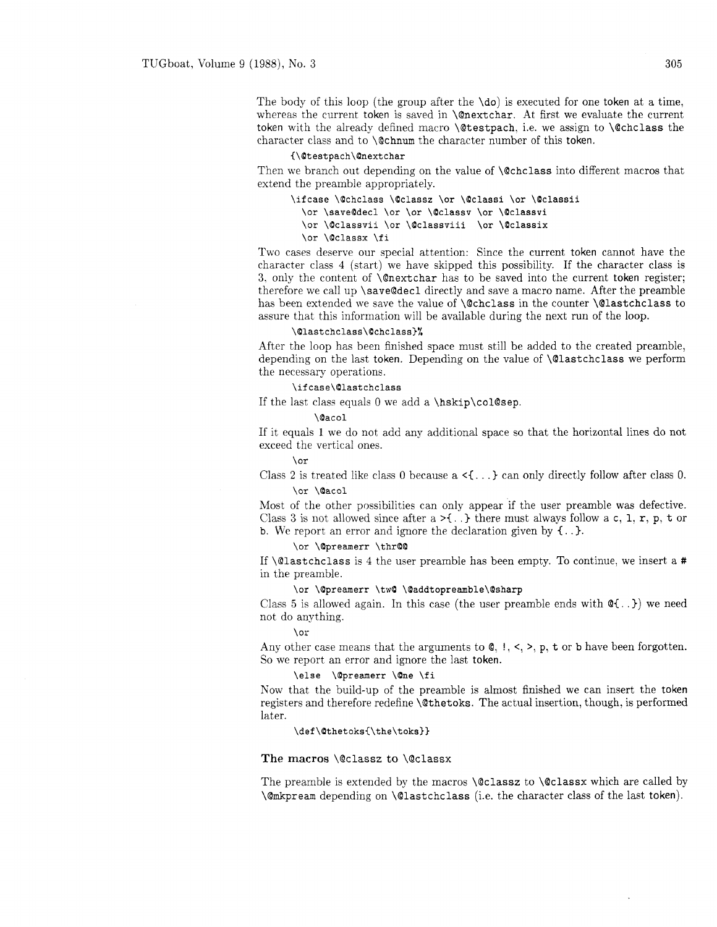The body of this loop (the group after the  $\dot{\delta}$ ) is executed for one token at a time. whereas the current token is saved in \@nextchar. At first we evaluate the current token with the already defined macro \@testpach. i.e. we assign to \@chclass the character class and to \@chnum the character number of this token.

## **(\Qtestpach\Qnextchar**

Then we branch out depending on the value of \@chclass into different macros that extend the preamble appropriately.

```
\ifcase \@chclass \@classz \or \@classi \or \@classii
  \or \saveQdecl \or \or \Oclassv \or \Qclassvi 
  \or \Qclassvil \or \Qclassviii \or \Qclasslx 
  \or \Qclassx \fl
```
Two cases deserve our special attention: Since the current token cannot have the character class 4 (start) we have skipped this possibility. If the character class is **3.** only the content of \@nextchar has to be saved into the current token register: therefore we call up \save@decl directly and save a macro name. After the preamble has been extended we save the value of **\@chclass** in the counter **\@lastchclass** to assure that this information will be available during the next run of the loop.

## **\~lastchclass\Qchclass)%**

After the loop has been finished space must still be added to the created preamble, depending on the last token. Depending on the value of \@lastchclass we perform the necessary operations.

# **\ifcase\Olastchclass**

If the last class equals 0 we add a  $\hbar$ skip $\co$ l@sep.

# **\Qacol**

If it equals 1 we do not add any additional space so that the horizontal lines do not exceed the vertical ones.

## **\or**

Class 2 is treated like class 0 because  $a \leq \ldots$  can only directly follow after class 0. **\or \Qacol** 

Most of the other possibilities can only appear if the user preamble was defective. Class 3 is not allowed since after  $a > \{.\}$  there must always follow a c, 1, r, p, t or b. We report an error and ignore the declaration given by  $\{.\cdot\}$ .

# **\or \Qpreamerr \thrQO**

If \@lastchclass is 4 the user preamble has been empty. To continue, we insert a # in the preamble.

# **\or \Qpreamerr \twQ \Qaddtopreamble\Qsharp**

Class 5 is allowed again. In this case (the user preamble ends with  $\mathcal{Q}\{\ldots\}$ ) we need not do anything.

# **\or**

Any other case means that the arguments to  $\mathbf{Q}, !, <, >, p$ ,  $\mathbf{t}$  or  $\mathbf{b}$  have been forgotten. So we report an error and ignore the last token.

## **\else \Qpreanerr \Qne \fi**

Now that the build-up of the preamble is almost finished we can insert the token registers and therefore redefine \Qthetoks. The actual insertion, though. is performed later.

## \def\@thetoks{\the\toks}}

# **The macros** \@class2 to \@classx

The preamble is extended by the macros  $\@classz$  to  $\@classx$  which are called by \@mkpream depending on \@lastchclass (i.e. the character class of the last token).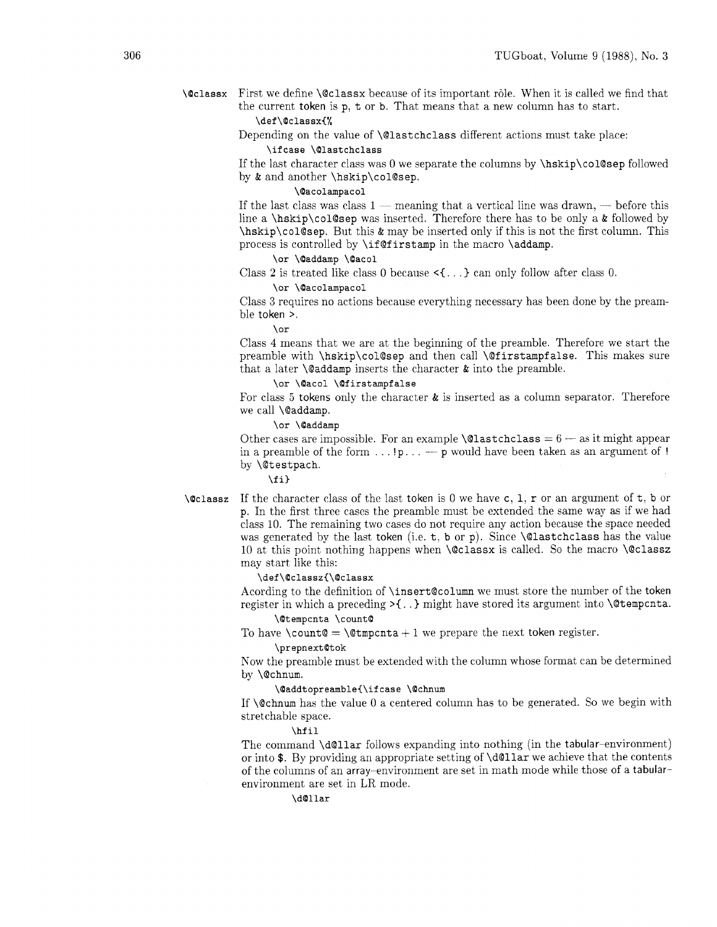**\Qclassx** First we define \@classx because of its important r6le. When it is called we find that the current token is p. t or b. That means that a new column has to start. **\def\Qclassx{%** 

Depending on the value of \@lastchclass different actions must take place:

**\ifcase \Qlastchclass** 

If the last character class was 0 we separate the columns by \hskip\col@sep followed by & and another \hskip\col@sep.

# **\@acolampacol**

If the last class was class  $1$  - meaning that a vertical line was drawn, - before this line a \hskip\col@sep was inserted. Therefore there has to be only a  $\&$  followed by \hskip\col@sep. But this & may be inserted only if this is not the first column. This process is controlled by \if@firstamp in the macro \addamp.

## **\or \@addamp \Qacol**

Class 2 is treated like class 0 because  $\langle \{ \ldots \} \rangle$  can only follow after class 0.

## **\or \Qacolampacol**

Class **3** requires no actions because everything necessary has been done by the preamble token >.

**\or** 

Class 4 means that we are at the beginning of the preamble. Therefore we start the preamble with \hskip\col@sep and then call \@firstampfalse. This makes sure that a later  $\Diamond$  addamp inserts the character  $\&$  into the preamble.

# **\or \Qacol \Qf irstampf alse**

For class 5 tokens only the character  $\&$  is inserted as a column separator. Therefore we call \@addamp.

# **\or \@addamp**

Other cases are impossible. For an example  $\text{Qlastchclass} = 6 - \text{as it might appear}$ in a preamble of the form . . . ! **p.** . . - p would have been taken as an argument of ! by \@testpach.

# **\f i)**

**\@classz** If the character class of the last token is 0 we have c, 1, r or an argument of t, b or p. In the first three cases the preamble must be extended the same way as if we had class 10. The remaining two cases do not require any action because the space needed was generated by the last token (i.e. t. b or p). Since  $\Diamond$  lastchclass has the value 10 at this point nothing happens when  $\Q$ classx is called. So the macro  $\Q$ classz may start like this:

## **\def\Qclassz{\Qclassx**

Acording to the definition of \insert@column we must store the number of the token register in which a preceding  $\geq \{ \ldots \}$  might have stored its argument into **\@tempcnta.** 

# **\Qtempcnta \count@**

To have \count@ = \@tmpcnta + 1 we prepare the next token register.

#### **\prepnextQtok**

Now the preamble must be extended with the column whose format can be determined by \@chnum.

# **\Qaddtopreamble{\ifcase \Qchnum**

If  $\Diamond$  chnum has the value 0 a centered column has to be generated. So we begin with stretchable space.

# **\hf il**

The command \d@llar follows expanding into nothing (in the tabular-environment) or into  $\mathcal$ . By providing an appropriate setting of  $\delta$ . of the columns of an array-environment are set in math mode while those of a tabularenvironment are set in LR mode.

# **\d@llar**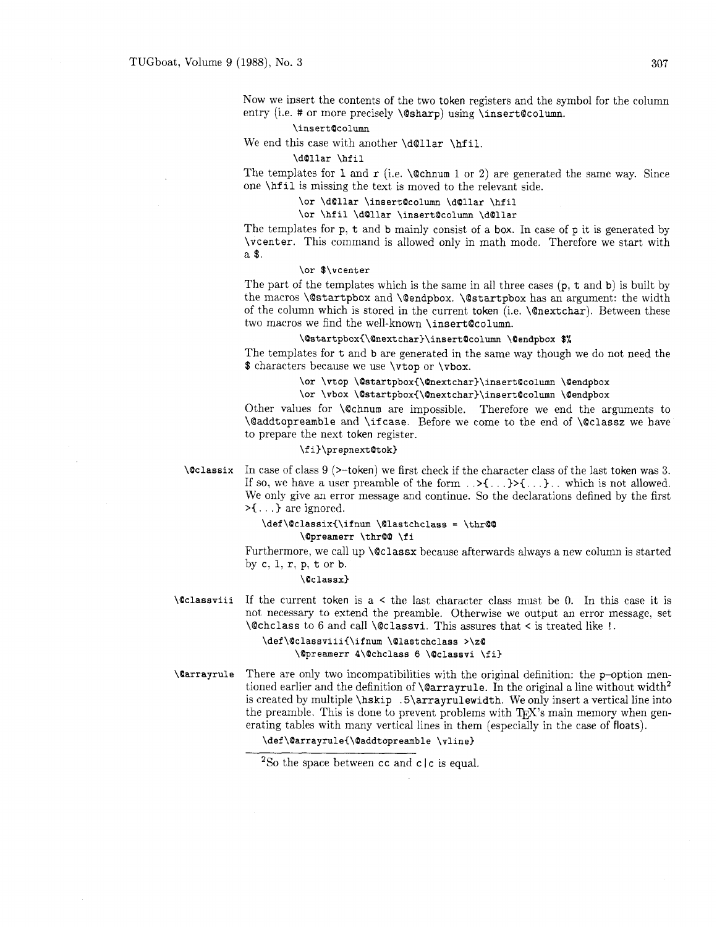Now we insert the contents of the two token registers and the symbol for the column entry (i.e. # or more precisely \@sharp) using \insert@column.

# **\insertQcolumn**

We end this case with another \d@llar \hfil.

## **\dollar \hfil**

The templates for 1 and  $r$  (i.e.  $\&$  chnum 1 or 2) are generated the same way. Since one \hf il is missing the text is moved to the relevant side.

**\or \dQllar \insertQcolumn \dQllar \hfil** 

# **\or \hfil \dQllar \insertQcolumn \dOllar**

The templates for p, t and b mainly consist of a box. In case of p it is generated by \vcenter. This command is allowed only in math mode. Therefore we start with a \$.

# **\or \$\vcenter**

The part of the templates which is the same in all three cases (p, t and b) is built by the macros \@startpbox and \@endpbox. \@startpbox has an argument: the width of the column which is stored in the current token (i.e. \@nextchar). Between these two macros we find the well-known \insert@column.

# \@startpbox{\@nextchar}\insert@column \@endpbox \$%

The templates for t and b are generated in the same way though we do not need the \$ characters because we use \vtop or \vbox.

# **\or \vtop \Qstartpbox{\~nextchar)\insertQcolumn \Qendpbox**

# **\or \vbox \Qstartpbox{\~nextchar~\insertQcolumn \Qendpbox**

Other values for \@chnum are impossible. Therefore we end the arguments to \@addtopreamble and \if case. Before we come to the end of \@classz we have to prepare the next token register.

## **\fi)\prepnextQtok)**

# **\Cclassix** In case of class 9 (>-token) we first check if the character class of the last token was **3.**  If so, we have a user preamble of the form . .>C. . **.I>{.** . .). . which is not allowed. We only give an error message and continue. So the declarations defined by the first  $\geq$ {...} are ignored.

# **\def\QclassixC\ifnum \Qlastchclass** = **\thrQQ \Qpreamerr \thrQQ \fi**

Furthermore, we call up **\@classx** because afterwards always a new column is started by  $c, 1, r, p, t$  or  $b$ .

## **\Qclassx)**

**\Qclassviii** If the current token is a < the last character class must be 0. In this case it is not necessary to extend the preamble. Otherwise we output an error message, set \@chclass to 6 and call \@classvi. This assures that < is treated like !.

> **\def\OclassviiiC\ifnum \@lastchclass >\zQ \Qpreamerr 4\Qchclass 6 \Qclassvi \fi)**

**\Qarrayrule** There are only two incompatibilities with the original definition: the p-option mentioned earlier and the definition of **\@arrayrule**. In the original a line without width<sup>2</sup> is created by multiple \hskip .5\arrayrulewidth. We only insert a vertical line into the preamble. This is done to prevent problems with  $T_{F}X$ 's main memory when generating tables with many vertical lines in them (especially in the case of floats).

# **\def\Qarrayrule{\Qaddtopreamble \vline)**

<sup>&</sup>lt;sup>2</sup>So the space between cc and c  $|c|$  is equal.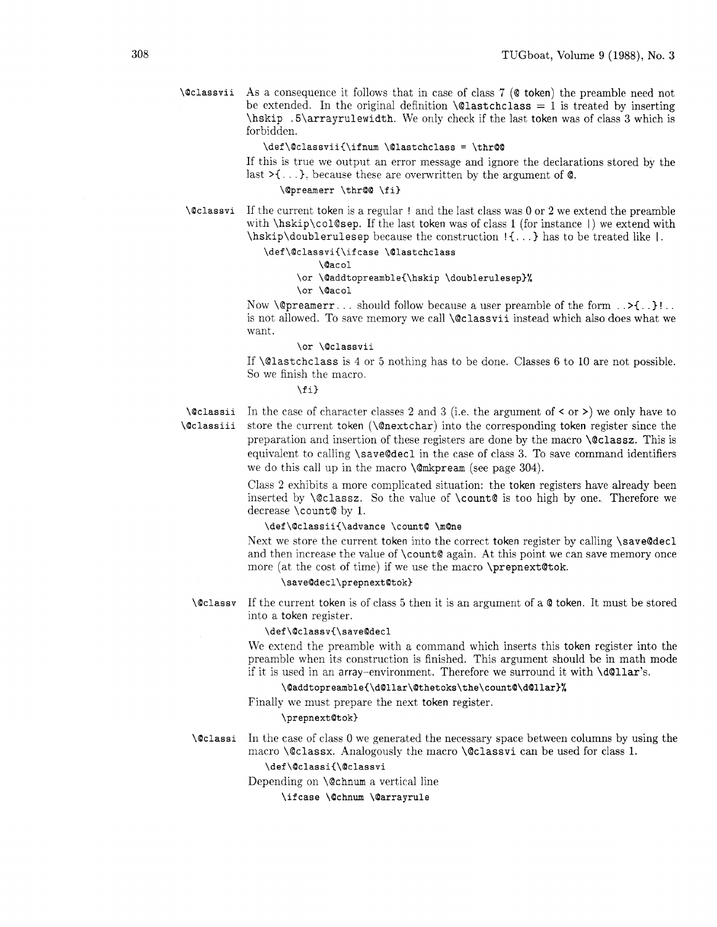**\Qclassvii** As a consequence it follows that in case of class 7 (Q token) the preamble need not be extended. In the original definition  $\texttt{Qlastchclass} = 1$  is treated by inserting \hskip .5\arrayrulewidth. We only check if the last token was of class 3 which is forbidden.

# **\def\OclassviiC\ifnum \Olastchclass** = **\thrQQ**

If this is true we output an error message and ignore the declarations stored by the last  $\geq$ {...}, because these are overwritten by the argument of  $\mathcal{Q}$ .

# **\Opreamerr \thrQQ \fi)**

**\@classvi** If the current token is a regular ! and the last class was 0 or *2* we extend the preamble with  $\hbar$ skip $\co1$ @sep. If the last token was of class 1 (for instance I) we extend with \hskip\doublerulesep because the construction ! { . . . ) has to be treated like I.

# **\def\OclassviC\ifcase \Qlastchclass**

**\Qacol** 

# **\or \Qaddtopreamble(\hskip \doublerulesep)%**

**\or \Oacol** 

Now  $\Diamond$  preamerr. . . should follow because a user preamble of the form .  $\Diamond$ {..}!.. is not allowed. To save memory we call **\@classvii** instead which also does what we want.

## **\or \Qclassvii**

If \@lastchclass is 4 or 5 nothing has to be done. Classes 6 to 10 are not possible. So we finish the macro.

# **\f 13**

**\@classii** In the case of character classes 2 and 3 (i.e. the argument of  $\leq$  or  $\geq$ ) we only have to **\@classii** store the current token (\@nextchar) into the corresponding token register since the preparation and insertion of these registers are done by the macro \Qclassz. This is equivalent to calling \save@decl in the case of class 3. To save command identifiers we do this call up in the macro \@mkpream (see page 304).

> Class *2* exhibits a more complicated situation: the token registers have already been inserted by  $\text{colassz.}$  So the value of  $\count$  is too high by one. Therefore we decrease \count@ by I.

# \def\@classii{\advance \count@ \m@ne

Next we store the current token into the correct token register by calling \save@decl and then increase the value of \count@ again. At this point we can save memory once more (at the cost of time) if we use the macro \prepnext@tok.

# \save@decl\prepnext@tok}

**\Qclassv** If the current token is of class 5 then it is an argument of a Q token. It must be stored into a token register.

# **\def \Oclassv{\saveOdecl**

We extend the preamble with a command which inserts this token register into the preamble when its construction is finished. This argument should be in math mode if it is used in an array-environment. Therefore we surround it with \d@llar's.

# **\Oaddtopreamble{\dO1lar\Qthetoks\the\count&3Qllar}%**

Finally we must prepare the next token register.

## \prepnext@tok}

**\@classi** In the case of class 0 we generated the necessary space between columns by using the macro \@classx. Analogously the macro \@classvi can be used for class 1.

# **\def\Oclassi{\Qclassvi**

Depending on  $\text{Cchnum}$  a vertical line

**\if case \Ochnum \Oarrayrule**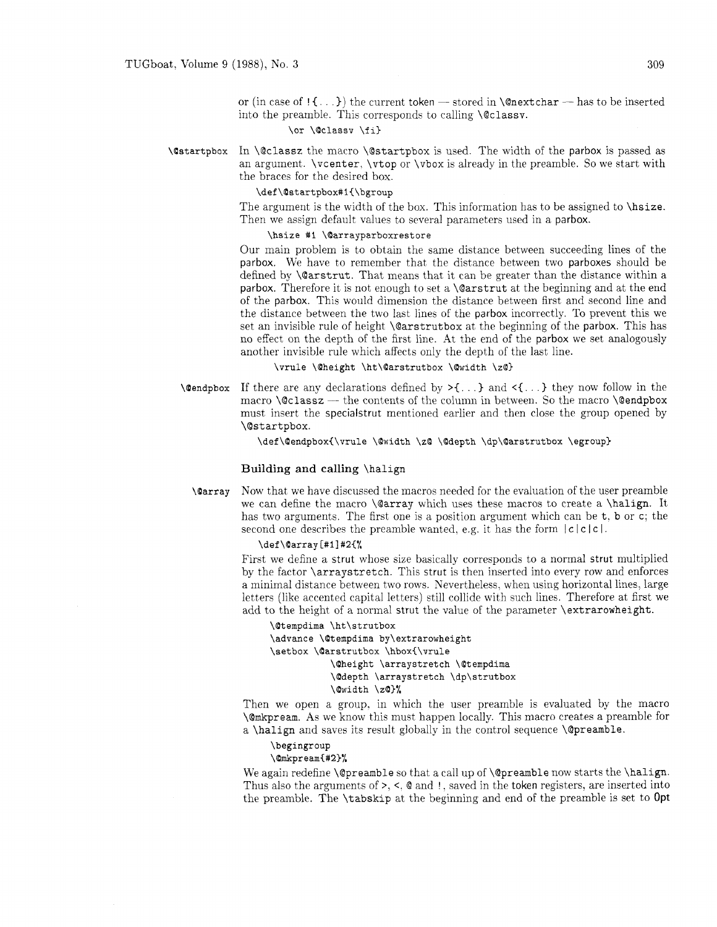or (in case of  $\{ \ldots \}$ ) the current token — stored in **\@nextchar** — has to be inserted into the preamble. This corresponds to calling **\@classv**.

# **\or \Qclassv \fi)**

In \@classz the macro \@startpbox is used. The width of the parbox is passed as **\@startpbox** an argument.  $\vector$ ,  $\vector$  or  $\vector$  is already in the preamble. So we start with the braces for the desired box.

# **\def\Ostartpbox#l{\bgroup**

The argument is the width of the box. This information has to be assigned to \hsize. Then we assign default values to several parameters used in a parbox.

# **\hslze #1 \Oarrayparboxrestore**

Our main problem is to obtain the same distance between succeeding lines of the parbox. We have to remember that the distance between two parboxes should be defined by \@arstrut. That means that it can be greater than the distance within a parbox. Therefore it is not enough to set a **\@arstrut** at the beginning and at the end of the parbox. This would dimension the distance between first and second line and the distance between the two last lines of the parbox incorrectly. To prevent this we set an invisible rule of height \@arstrutbox at the beginning of the parbox. This has no effect on the depth of the first line. At the end of the parbox we set analogously another invisible rule which affects only the depth of the last line.

**\vrule \Oheight \ht\Oarstrutbox \Qwldth \zO)** 

**\@endpbox** If there are any declarations defined by  $>\{ \ldots \}$  and  $\leq \{ \ldots \}$  they now follow in the macro  $\text{Qclass}$  - the contents of the column in between. So the macro  $\text{Qendpbox}$ must insert the specialstrut mentioned earlier and then close the group opened by \C?startpbox.

\def\@endpbox{\vrule \@width \z@ \@depth \dp\@arstrutbox \egroup}

# Building and calling \halign

Now that we have discussed the macros needed for the evaluation of the user preamble **\Carray** we can define the macro \@array which uses these macros to create a \halign. It has two arguments. The first one is a position argument which can be t, b or c; the second one describes the preamble wanted, e.g. it has the form  $|c|c|c|$ .

## **\def \Oarray [#l] #2{%**

First we define a strut whose size basically corresponds to a normal strut multiplied by the factor \arraystretch. This strut is then inserted into every row and enforces a minimal distance between two rows. Nevertheless. when using horizontal lines, large letters (like accented capital letters) still collide with such lines. Therefore at first we add to the height of a normal strut the value of the parameter \extrarowheight.

```
\@tempdima \ht\strutbox
\advance \@tempdima by\extrarowheight
\setbox \@arstrutbox \hbox{\vrule
           \@height \arraystretch \@tempdima
           \@depth \arraystretch \dp\strutbox
           \@width \z@}%
```
Then we open a group, in which the user preamble is evaluated by the macro \@mkpream. As we know this must happen locally. This macro creates a preamble for a \halign and saves its result globally in the control sequence \@preamble.

## **\begingroup**

# **\OrnkpreamC#2)%**

We again redefine \@preamble so that a call up of \@preamble now starts the \halign. Thus also the arguments of  $\geq$ ,  $\lt$ ,  $\otimes$  and !, saved in the token registers, are inserted into the preamble. The \tabskip at the beginning and end of the preamble is set to **Opt**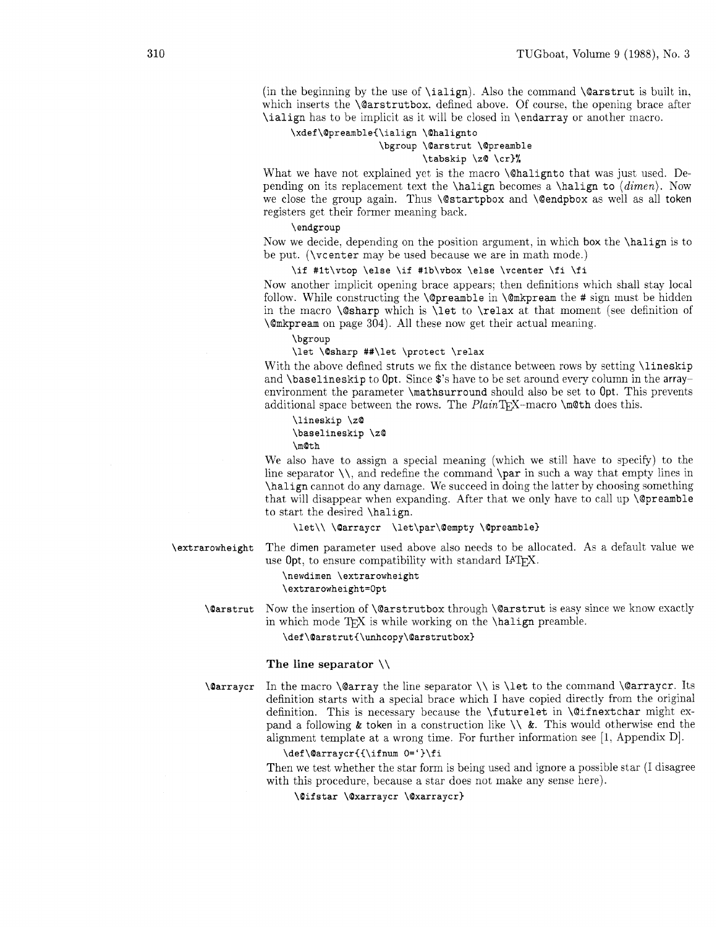(in the beginning by the use of  $\ialign)$ . Also the command  $\@arstrut$  is built in, which inserts the **\@arstrutbox.** defined above. Of course, the opening brace after \ialign has to be implicit as it will be closed in \endarray or another macro.

# **\xdef\QpreambleC\lalign \Ohalignto**

# **\bgroup \Qarstrut \@preamble \tabskip** \z@ **\cr)%**

What we have not explained yet is the macro **\@halignto** that was just used. Depending on its replacement text the **\halign** becomes a **\halign** to  $\langle \dim e n \rangle$ . Now we close the group again. Thus \@startpbox and \@endpbox as well as all token registers get their former meaning back.

## \ **endgroup**

Now we decide, depending on the position argument, in which box the \halign is to be put. (\vcenter may be used because we are in math mode.)

# **\if #lt\vtop \else \if #Ib\vbox \else \vcenter \fi \fi**

Now another implicit opening brace appears: then definitions which shall stay local follow. While constructing the \@preamble in \@mkpream the # sign must be hidden in the macro  $\Gamma$  which is  $\let$  to  $\relax$  at that moment (see definition of \@mkpream on page 304). All these now get their actual meaning.

## **\bgroup**

## **\let \@sharp ##\let \protect \relax**

With the above defined struts we fix the distance between rows by setting *\lineskip* and \baselineskip to Opt. Since \$'s have to be set around every column in the arrayenvironment the parameter \mathsurround should also be set to Opt. This prevents additional space between the rows. The  $PlanTFX-macro \mathcal{A}$  does this.

\lineskip \zQ \baselineskip \zQ

\m©th

We also have to assign a special meaning (which we still have to specify) to the line separator  $\lambda$ , and redefine the command  $\parrow$  in such a way that empty lines in \halign cannot do any damage. We succeed in doing the latter by choosing something that will disappear when expanding. After that we only have to call up  $\Diamond$  preamble to start the desired \halign.

**\let\\ \@arraycr \let\par\Qempty \@preamble)** 

# **\extrarowheight** The dimen parameter used above also needs to be allocated. As a default value we use Opt, to ensure compatibility with standard IATEX.

## \newdimen \extrarowheight \extrarowheight=Opt

**\(Parstrut** Now the insertion of \@arstrutbox through \@arstrut is easy since we know exactly in which mode  $T_F X$  is while working on the \halign preamble.

**\def\Oarstrut{\unhcopy\Qarstrutbox)** 

## The line separator  $\setminus$

**\@arraycr** In the macro **\@array** the line separator **\\** is **\let** to the command **\@arraycr.** Its definition starts with a special brace which I have copied directly from the original definition. This is necessary because the \futurelet in \@ifnextchar might expand a following & token in a construction like  $\setminus \&$ . This would otherwise end the alignment template at a wrong time. For further information see [I, Appendix Dl.

## **\def \@arraycr{C\ifnum O=** ' **)\f i**

Then we test whether the star form is being used and ignore a possible star (I disagree with this procedure. because a star does not make any sense here).

## \@ifstar \@xarraycr \@xarraycr}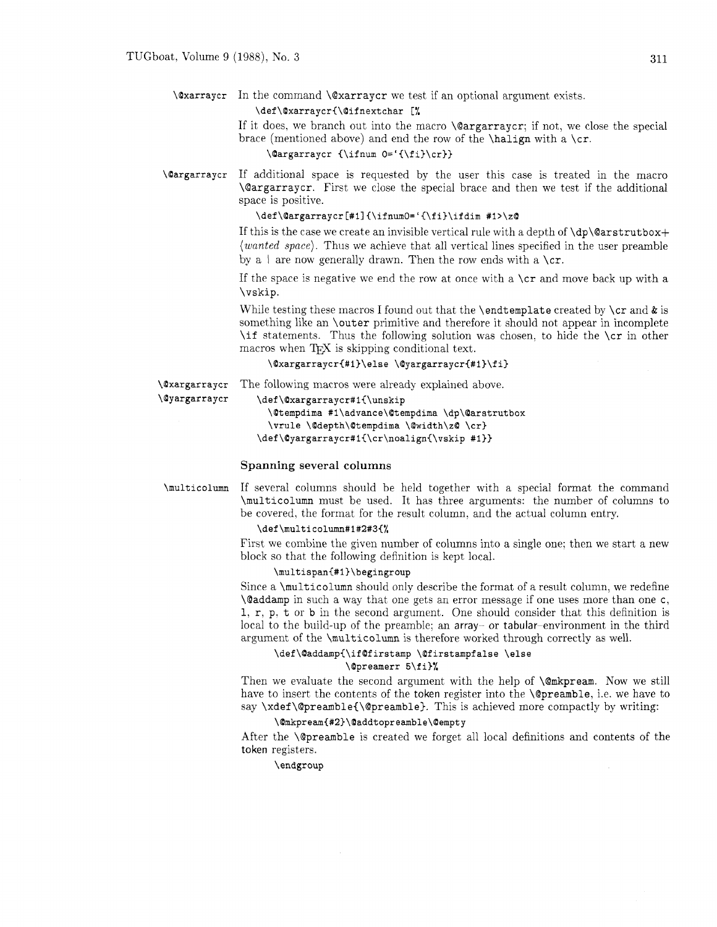# **\@xarraycr** In the command **\@xarraycr** we test if an optional argument exists.

## \def\@xarraycr{\@ifnextchar [%]

If it does, we branch out into the macro **\@argarraycr;** if not, we close the special brace (mentioned above) and end the row of the **\halign** with a **\cr.** 

# **\Qargarraycr C\ifnum O='I\fi)\cr))**

**\(Oargarraycr** If additional space is requested by the user this case is treated in the macro **\@argarraycr.** First we close the special brace and then we test if the additional space is positive.

# **\def \Oargarraycr [#I1 C\ifnumO='C\f i)\ifdim #l>\z0**

If this is the case we create an invisible vertical rule with a depth of **\dp\@arstrutbox+**  (wanted space). Thus we achieve that all vertical lines specified in the user preamble by a  $\vert$  are now generally drawn. Then the row ends with a **\cr.** 

If the space is negative we end the row at once with a **\cr** and move back up with a **\vskip.** 

While testing these macros I found out that the **\endtemplate** created by **\cr** and & is something like an **\outer** primitive and therefore it should not appear in incomplete **\if** statements. Thus the following solution was chosen. to hide the **\cr** in other macros when TEX is skipping conditional text.

# \@xargarraycr{#1}\else \@yargarraycr{#1}\fi}

**\(Oxargarraycr** The following macros were already explained above.

**\O~argarra~cr \def \@xargarraycr#lC\unskip** 

**\(Otempdima #l\advance\Qtempdima \dp\(Oarstrutbox \vrule \@depth\Qtempdima \(Owidth\zO \cr) \def\Qyargarraycr#l~\cr\noalign{\vskip #I))** 

# **Spanning** several **columns**

**\multicolumn** If several columns should be held together with a special format the command **\multicolumn** must be used. It has three arguments: the number of columns to be covered, the format for the result column. and the actual column entry.

# **\def\multicolumn#l#2#3C%**

First we combine the given number of columns into a single one; then we start a new block so that the following definition is kept local.

# **\multispan<#l)\begingroup**

Since a **\multicolumn** should only describe the format of a result column, we redefine **\@addamp** in such a way that one gets an error message if one uses more than one c, **1, r, p. t** or **b** in the second argument. One should consider that this definition is local to the build-up of the preamble: an array- or tabular-environment in the third argument of the **\multicolumn** is therefore worked through correctly as well.

# **\def \Oaddamp{\ifQf irstamp \(Of irstampf alse \else \Opreamerr 5\f1)%**

Then we evaluate the second argument with the help of **\@mkpream.** Now we still have to insert the contents of the token register into the **\@preamble,** i.e. we have to say **\xdef \@preamble{\@preamble).** This is achieved more compactly by writing:

# **\Qmkpream{#2)\0addtopreamble\Qempty**

After the **\@preamble** is created we forget all local definitions and contents of the token registers.

# \endgroup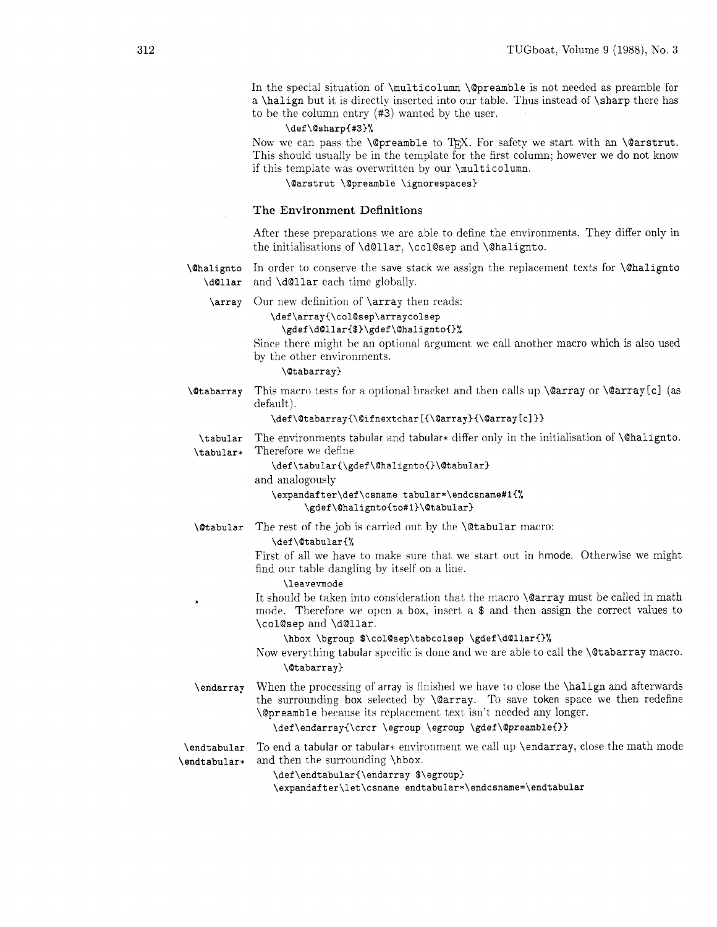In the special situation of \multicolumn \@preamble is not needed as preamble for a \halign but it is directly inserted into our table. Thus instead of \sharp there has to be the column entry **(#3)** wanted by the user.

# **\def\Qsharp{#S)%**

Now we can pass the  $\@pr$ eamble to TFX. For safety we start with an  $\@sr$ strut. This should usually be in the template for the first column; however we do not know if this template was overwritten by our \mult icolumn.

**\Oarstrut \@preamble \ignorespaces)** 

## The Environment Definitions

After these preparations we are able to define the environments. They differ only in the initialisations of \d@llar, \col@sep and \@halignto.

**\Chalignto** In order to conserve the save stack we assign the replacement texts for **\Chalignto** \d@llar and \d@llar each time globally.

Our new definition of \array then reads:

\def\array{\col@sep\arraycolsep

# **\gdef \dOllar{\$>\gdef \@halignto{]%**

Since there might be an optional argument we call another macro which is also used by the other environments.

## **\@tabarray)**

*\Ctabarray* This macro tests for a optional bracket and then calls up  $\@array{c}$   $\@array{c}$  or  $\@array{c}$   $\@array{c}$  (as default).

## **\def\@tabarray{\@ifnextchar[{\@array){\@array[c]>)**

The environments tabular and tabular\* differ only in the initialisation of **\@halignto.** \tabular Therefore we define \tabular\*

\def\tabular{\gdef\@halignto{}\@tabular}

and analogously

\expandafter\def\csname tabular\*\endcsname#1{% \gdef\@halignto{to#1}\@tabular}

The rest of the job is carried out by the \@tabular macro:

## **\def\Otabular{%**

First of all we have to make sure that we start out in hmode. Otherwise we might find our table dangling by itself on a line.

#### **\leavemode**

It should be taken into consideration that the macro **\@array** must be called in math mode. Therefore we open a box. insert a \$ and then assign the correct values to \col@sep and \d@llar.

**\hbox \bgroup \$\col@sep\tabcolsep \gdef\dOllar{)%** 

Now everything tabular specific is done and we are able to call the \@tabarray macro. **\@tabarray)** 

When the processing of array is finished we have to close the **\halign** and afterwards \endarray the surrounding box selected by \@array. To save token space we then redefine \@preamble because its replacement text isn't needed any longer.

# **\def\endarray(\crcr \egroup \egroup \gdef\@preamble{)>**

To end a tabular or tabular\* environment we call up \endarray, close the math mode \endtabular and then the surrounding \hbox. \endtabular\*

**\def\endtabular(\endarray \$\egroup)** 

\expandafter\let\csname endtabular\*\endcsname=\endtabular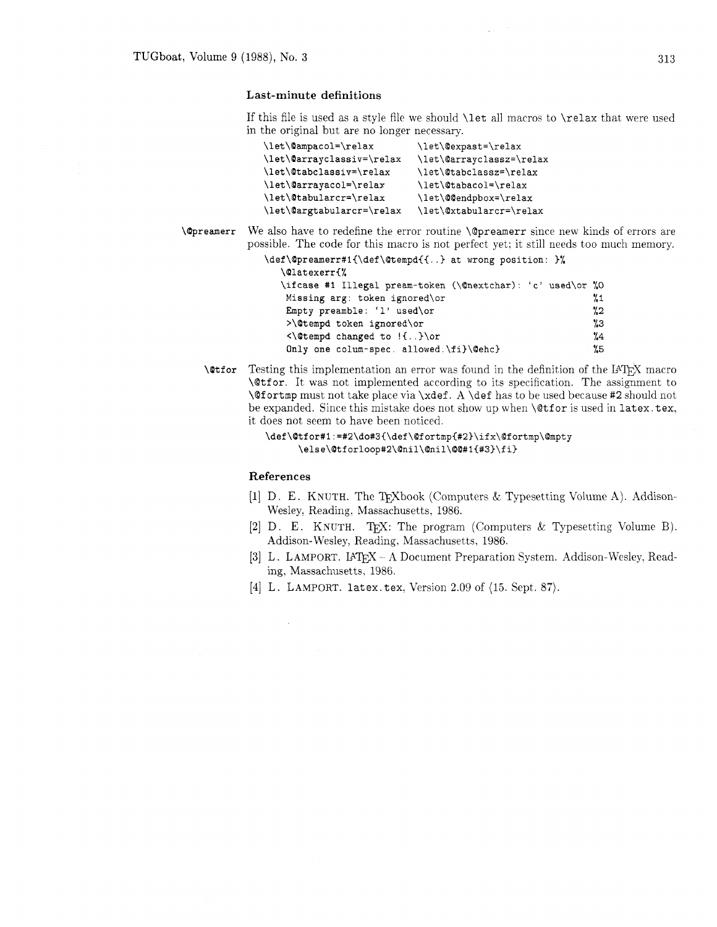# Last-minute definitions

If this file is used as a style file we should \let all macros to \relax that were used in the original but are no longer necessary.

| \let\@ampacol=\relax      | \let\@expast=\relax      |
|---------------------------|--------------------------|
| \let\@arrayclassiv=\relax | \let\@arrayclassz=\relax |
| \let\@tabclassiv=\relax   | \let\@tabclassz=\relax   |
| \let\@arrayacol=\relax    | \let\@tabacol=\relax     |
| \let\@tabularcr=\relax    | \let\@@endpbox=\relax    |
| \let\@argtabularcr=\relax | \let\@xtabularcr=\relax  |

**\Qpreamerr** We also have to redefine the error routine \@preamerr since new kinds of errors are possible. The code for this macro is not perfect yet: it still needs too much memory.

**\def\Qpreamerr#i{\def\Qternpd{{..) at wrong position: 1%** 

| \ifcase #1 Illegal pream-token (\@nextchar): 'c' used\or %0 |
|-------------------------------------------------------------|
| 71                                                          |
| "2"                                                         |
| $\%3$                                                       |
| 7.4                                                         |
| - %5                                                        |
|                                                             |

**\@tfor** Testing this implementation an error was found in the definition of the IATEX macro \Qtfor. It was not implemented according to its specification. The assignment to  $\sqrt{G(\tau)}$  must not take place via  $\cdot A \det$  has to be used because #2 should not be expanded. Since this mistake does not show up when \@tf or is used in latex. tex, it does not seem to have been noticed.

```
\def\@tfor#1:=#2\do#3{\def\@fortmp{#2}\ifx\@fortmp\@mpty
     \else\@tforloop#2\@nil\@nil\@@#1{#3}\fi}
```
# References

 $\bar{z}$ 

- [1] D. E. KNUTH. The TEXbook (Computers & Typesetting Volume A). Addison-Wesley. Reading. Massachusetts, 1986.
- [2] D. E. KNUTH. TEX: The program (Computers & Typesetting Volume B). Addison-Wesley. Reading. Massachusetts. 1986.
- [3] L. LAMPORT. IATEX A Document Preparation System. Addison-Wesley, Reading, Massachusetts, 1986.
- [4] L. LAMPORT. latex. tex. Version 2.09 of  $(15.$  Sept. 87).